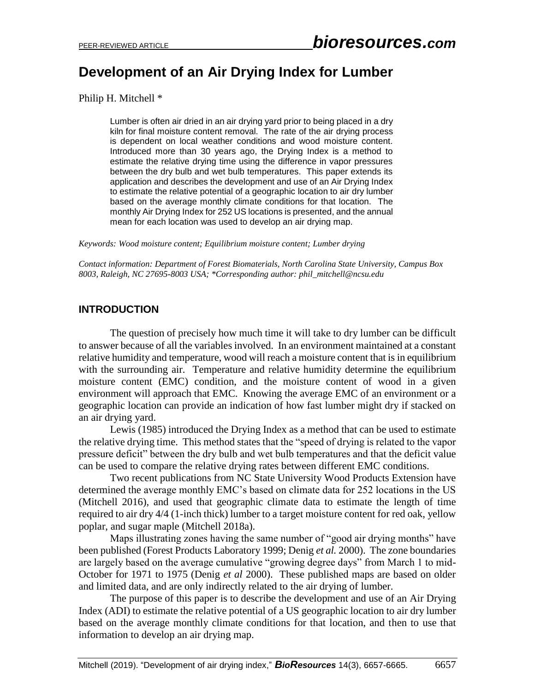# **Development of an Air Drying Index for Lumber**

Philip H. Mitchell \*

Lumber is often air dried in an air drying yard prior to being placed in a dry kiln for final moisture content removal. The rate of the air drying process is dependent on local weather conditions and wood moisture content. Introduced more than 30 years ago, the Drying Index is a method to estimate the relative drying time using the difference in vapor pressures between the dry bulb and wet bulb temperatures. This paper extends its application and describes the development and use of an Air Drying Index to estimate the relative potential of a geographic location to air dry lumber based on the average monthly climate conditions for that location. The monthly Air Drying Index for 252 US locations is presented, and the annual mean for each location was used to develop an air drying map.

*Keywords: Wood moisture content; Equilibrium moisture content; Lumber drying*

*Contact information: Department of Forest Biomaterials, North Carolina State University, Campus Box 8003, Raleigh, NC 27695-8003 USA; \*Corresponding author: phil\_mitchell@ncsu.edu*

## **INTRODUCTION**

The question of precisely how much time it will take to dry lumber can be difficult to answer because of all the variables involved. In an environment maintained at a constant relative humidity and temperature, wood will reach a moisture content that is in equilibrium with the surrounding air. Temperature and relative humidity determine the equilibrium moisture content (EMC) condition, and the moisture content of wood in a given environment will approach that EMC. Knowing the average EMC of an environment or a geographic location can provide an indication of how fast lumber might dry if stacked on an air drying yard.

Lewis (1985) introduced the Drying Index as a method that can be used to estimate the relative drying time. This method states that the "speed of drying is related to the vapor pressure deficit" between the dry bulb and wet bulb temperatures and that the deficit value can be used to compare the relative drying rates between different EMC conditions.

Two recent publications from NC State University Wood Products Extension have determined the average monthly EMC's based on climate data for 252 locations in the US (Mitchell 2016), and used that geographic climate data to estimate the length of time required to air dry 4/4 (1-inch thick) lumber to a target moisture content for red oak, yellow poplar, and sugar maple (Mitchell 2018a).

Maps illustrating zones having the same number of "good air drying months" have been published (Forest Products Laboratory 1999; Denig *et al.* 2000). The zone boundaries are largely based on the average cumulative "growing degree days" from March 1 to mid-October for 1971 to 1975 (Denig *et al* 2000). These published maps are based on older and limited data, and are only indirectly related to the air drying of lumber.

The purpose of this paper is to describe the development and use of an Air Drying Index (ADI) to estimate the relative potential of a US geographic location to air dry lumber based on the average monthly climate conditions for that location, and then to use that information to develop an air drying map.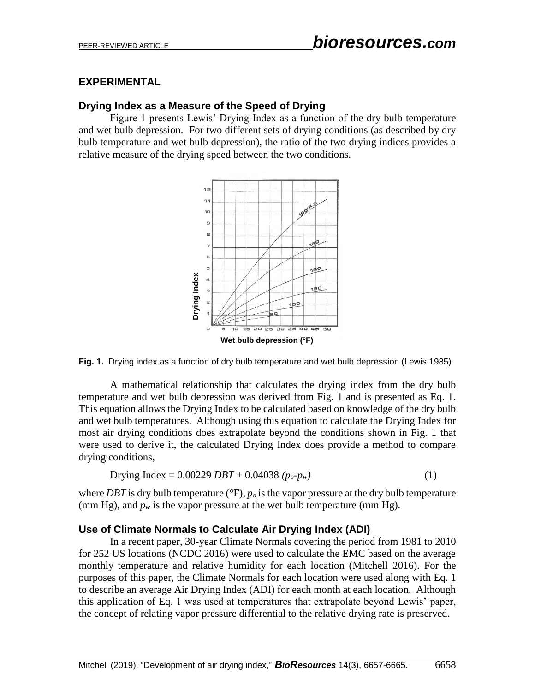#### **EXPERIMENTAL**

### **Drying Index as a Measure of the Speed of Drying**

Figure 1 presents Lewis' Drying Index as a function of the dry bulb temperature and wet bulb depression. For two different sets of drying conditions (as described by dry bulb temperature and wet bulb depression), the ratio of the two drying indices provides a relative measure of the drying speed between the two conditions.



**Fig. 1.** Drying index as a function of dry bulb temperature and wet bulb depression (Lewis 1985)

A mathematical relationship that calculates the drying index from the dry bulb temperature and wet bulb depression was derived from Fig. 1 and is presented as Eq. 1. This equation allows the Drying Index to be calculated based on knowledge of the dry bulb and wet bulb temperatures. Although using this equation to calculate the Drying Index for most air drying conditions does extrapolate beyond the conditions shown in Fig. 1 that were used to derive it, the calculated Drying Index does provide a method to compare drying conditions,

$$
Drying Index = 0.00229 \, DBT + 0.04038 \ (p_o \text{-} p_w)
$$
\n(1)

where *DBT* is dry bulb temperature (*°*F), *p<sup>o</sup>* is the vapor pressure at the dry bulb temperature (mm Hg), and  $p_w$  is the vapor pressure at the wet bulb temperature (mm Hg).

#### **Use of Climate Normals to Calculate Air Drying Index (ADI)**

In a recent paper, 30-year Climate Normals covering the period from 1981 to 2010 for 252 US locations (NCDC 2016) were used to calculate the EMC based on the average monthly temperature and relative humidity for each location (Mitchell 2016). For the purposes of this paper, the Climate Normals for each location were used along with Eq. 1 to describe an average Air Drying Index (ADI) for each month at each location. Although this application of Eq. 1 was used at temperatures that extrapolate beyond Lewis' paper, the concept of relating vapor pressure differential to the relative drying rate is preserved.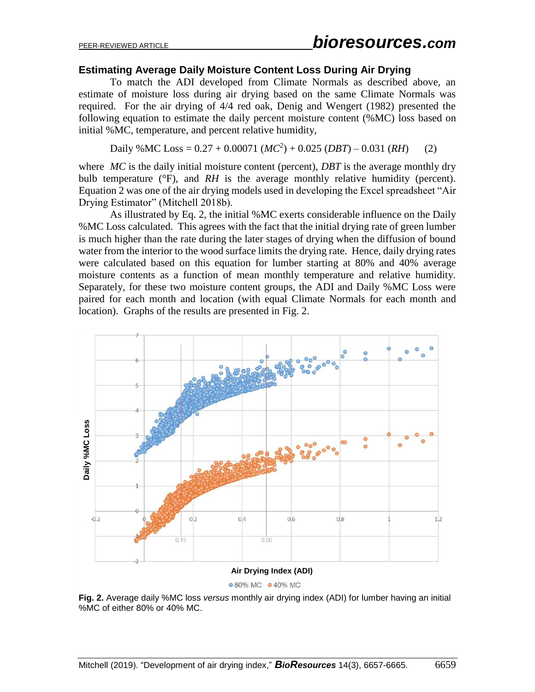#### **Estimating Average Daily Moisture Content Loss During Air Drying**

To match the ADI developed from Climate Normals as described above, an estimate of moisture loss during air drying based on the same Climate Normals was required. For the air drying of 4/4 red oak, Denig and Wengert (1982) presented the following equation to estimate the daily percent moisture content (%MC) loss based on initial %MC, temperature, and percent relative humidity,

Daily %MC Loss =  $0.27 + 0.00071$  ( $MC^2$ ) + 0.025 (*DBT*) – 0.031 (*RH*) (2)

where *MC* is the daily initial moisture content (percent), *DBT* is the average monthly dry bulb temperature (°F), and *RH* is the average monthly relative humidity (percent). Equation 2 was one of the air drying models used in developing the Excel spreadsheet "Air Drying Estimator" (Mitchell 2018b).

As illustrated by Eq. 2, the initial %MC exerts considerable influence on the Daily %MC Loss calculated. This agrees with the fact that the initial drying rate of green lumber is much higher than the rate during the later stages of drying when the diffusion of bound water from the interior to the wood surface limits the drying rate. Hence, daily drying rates were calculated based on this equation for lumber starting at 80% and 40% average moisture contents as a function of mean monthly temperature and relative humidity. Separately, for these two moisture content groups, the ADI and Daily %MC Loss were paired for each month and location (with equal Climate Normals for each month and location). Graphs of the results are presented in Fig. 2.



**Fig. 2.** Average daily %MC loss *versus* monthly air drying index (ADI) for lumber having an initial %MC of either 80% or 40% MC.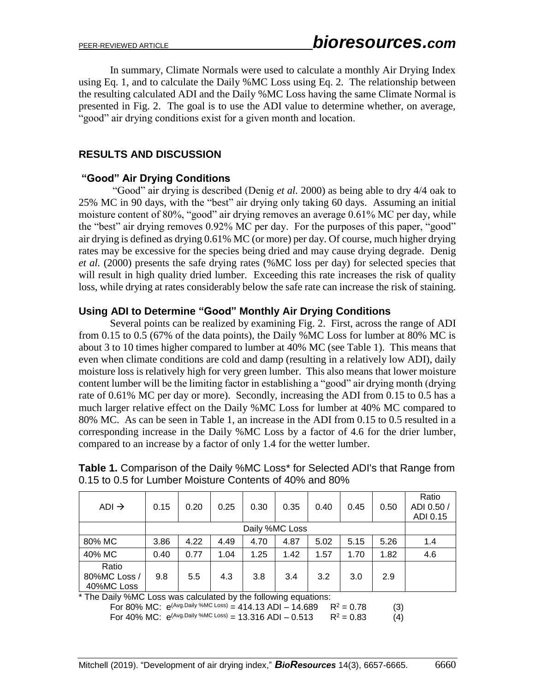In summary, Climate Normals were used to calculate a monthly Air Drying Index using Eq. 1, and to calculate the Daily %MC Loss using Eq. 2. The relationship between the resulting calculated ADI and the Daily %MC Loss having the same Climate Normal is presented in Fig. 2. The goal is to use the ADI value to determine whether, on average, "good" air drying conditions exist for a given month and location.

#### **RESULTS AND DISCUSSION**

#### **"Good" Air Drying Conditions**

"Good" air drying is described (Denig *et al.* 2000) as being able to dry 4/4 oak to 25% MC in 90 days, with the "best" air drying only taking 60 days. Assuming an initial moisture content of 80%, "good" air drying removes an average 0.61% MC per day, while the "best" air drying removes 0.92% MC per day. For the purposes of this paper, "good" air drying is defined as drying 0.61% MC (or more) per day. Of course, much higher drying rates may be excessive for the species being dried and may cause drying degrade. Denig *et al.* (2000) presents the safe drying rates (%MC loss per day) for selected species that will result in high quality dried lumber. Exceeding this rate increases the risk of quality loss, while drying at rates considerably below the safe rate can increase the risk of staining.

#### **Using ADI to Determine "Good" Monthly Air Drying Conditions**

Several points can be realized by examining Fig. 2. First, across the range of ADI from 0.15 to 0.5 (67% of the data points), the Daily %MC Loss for lumber at 80% MC is about 3 to 10 times higher compared to lumber at 40% MC (see Table 1). This means that even when climate conditions are cold and damp (resulting in a relatively low ADI), daily moisture loss is relatively high for very green lumber. This also means that lower moisture content lumber will be the limiting factor in establishing a "good" air drying month (drying rate of 0.61% MC per day or more). Secondly, increasing the ADI from 0.15 to 0.5 has a much larger relative effect on the Daily %MC Loss for lumber at 40% MC compared to 80% MC. As can be seen in Table 1, an increase in the ADI from 0.15 to 0.5 resulted in a corresponding increase in the Daily %MC Loss by a factor of 4.6 for the drier lumber, compared to an increase by a factor of only 1.4 for the wetter lumber.

| $ADI \rightarrow$                   | 0.15 | 0.20           | 0.25 | 0.30 | 0.35 | 0.40 | 0.45 | 0.50 | Ratio<br>ADI 0.50/<br>ADI 0.15 |  |
|-------------------------------------|------|----------------|------|------|------|------|------|------|--------------------------------|--|
|                                     |      | Daily %MC Loss |      |      |      |      |      |      |                                |  |
| 80% MC                              | 3.86 | 4.22           | 4.49 | 4.70 | 4.87 | 5.02 | 5.15 | 5.26 | 1.4                            |  |
| 40% MC                              | 0.40 | 0.77           | 1.04 | 1.25 | 1.42 | 1.57 | 1.70 | 1.82 | 4.6                            |  |
| Ratio<br>80%MC Loss /<br>40%MC Loss | 9.8  | 5.5            | 4.3  | 3.8  | 3.4  | 3.2  | 3.0  | 2.9  |                                |  |

**Table 1.** Comparison of the Daily %MC Loss<sup>\*</sup> for Selected ADI's that Range from 0.15 to 0.5 for Lumber Moisture Contents of 40% and 80%

\* The Daily %MC Loss was calculated by the following equations:<br>For 80% MC:  $e^{(Avg.Daily %MC Loss)} = 414.13$  ADI - 14.689 R<sup>2</sup> = 0.78

For 80% MC:  $e^{(Avg.Daily %MC Loss)} = 414.13 ADI - 14.689$  R<sup>2</sup> = 0.78 (3)<br>For 40% MC:  $e^{(Avg.Daily %MC Loss)} = 13.316 ADI - 0.513$  R<sup>2</sup> = 0.83 (4)

For 40% MC:  $e^{(Avg.Daily %MC Loss)} = 13.316 ADI - 0.513$   $R^2 = 0.83$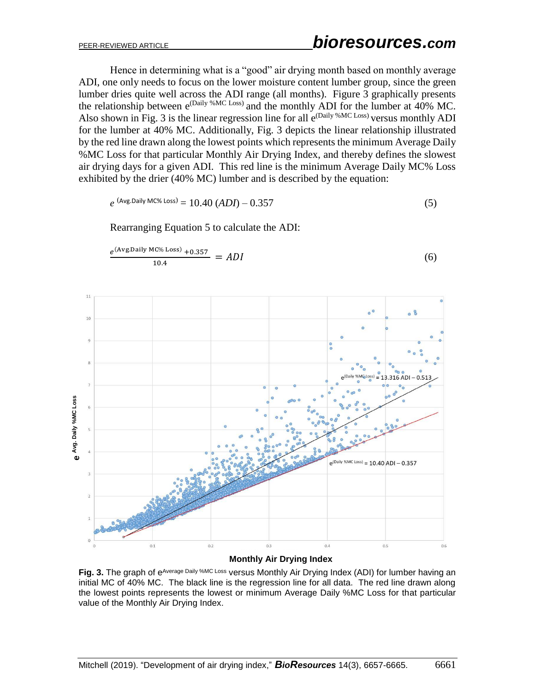Hence in determining what is a "good" air drying month based on monthly average ADI, one only needs to focus on the lower moisture content lumber group, since the green lumber dries quite well across the ADI range (all months). Figure 3 graphically presents the relationship between  $e^{(Daily\ %MC Loss)}$  and the monthly ADI for the lumber at 40% MC. Also shown in Fig. 3 is the linear regression line for all  $e^{(Daily\ %MC Loss)}$  versus monthly ADI for the lumber at 40% MC. Additionally, Fig. 3 depicts the linear relationship illustrated by the red line drawn along the lowest points which represents the minimum Average Daily %MC Loss for that particular Monthly Air Drying Index, and thereby defines the slowest air drying days for a given ADI. This red line is the minimum Average Daily MC% Loss exhibited by the drier (40% MC) lumber and is described by the equation:

$$
e^{ (Avg.Daily MC\% Loss)} = 10.40 (ADI) - 0.357
$$
 (5)

Rearranging Equation 5 to calculate the ADI:



**Monthly Air Drying Index**

Fig. 3. The graph of e<sup>Average Daily %MC Loss versus Monthly Air Drying Index (ADI) for lumber having an</sup> initial MC of 40% MC. The black line is the regression line for all data. The red line drawn along the lowest points represents the lowest or minimum Average Daily %MC Loss for that particular value of the Monthly Air Drying Index.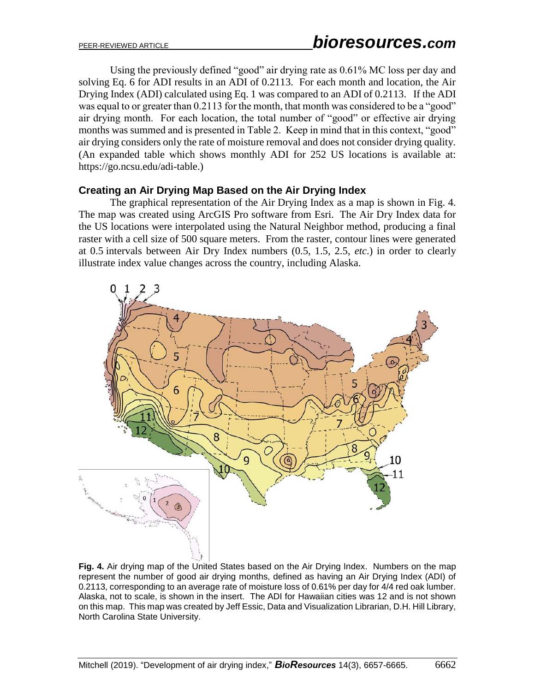Using the previously defined "good" air drying rate as 0.61% MC loss per day and solving Eq. 6 for ADI results in an ADI of 0.2113. For each month and location, the Air Drying Index (ADI) calculated using Eq. 1 was compared to an ADI of 0.2113. If the ADI was equal to or greater than 0.2113 for the month, that month was considered to be a "good" air drying month. For each location, the total number of "good" or effective air drying months was summed and is presented in Table 2. Keep in mind that in this context, "good" air drying considers only the rate of moisture removal and does not consider drying quality. (An expanded table which shows monthly ADI for 252 US locations is available at: [https://go.ncsu.edu/adi-table.](https://go.ncsu.edu/adi-table))

#### **Creating an Air Drying Map Based on the Air Drying Index**

The graphical representation of the Air Drying Index as a map is shown in Fig. 4. The map was created using ArcGIS Pro software from Esri. The Air Dry Index data for the US locations were interpolated using the Natural Neighbor method, producing a final raster with a cell size of 500 square meters. From the raster, contour lines were generated at 0.5 intervals between Air Dry Index numbers (0.5, 1.5, 2.5, *etc*.) in order to clearly illustrate index value changes across the country, including Alaska.



**Fig. 4.** Air drying map of the United States based on the Air Drying Index. Numbers on the map represent the number of good air drying months, defined as having an Air Drying Index (ADI) of 0.2113, corresponding to an average rate of moisture loss of 0.61% per day for 4/4 red oak lumber. Alaska, not to scale, is shown in the insert. The ADI for Hawaiian cities was 12 and is not shown on this map. This map was created by Jeff Essic, Data and Visualization Librarian, D.H. Hill Library, North Carolina State University.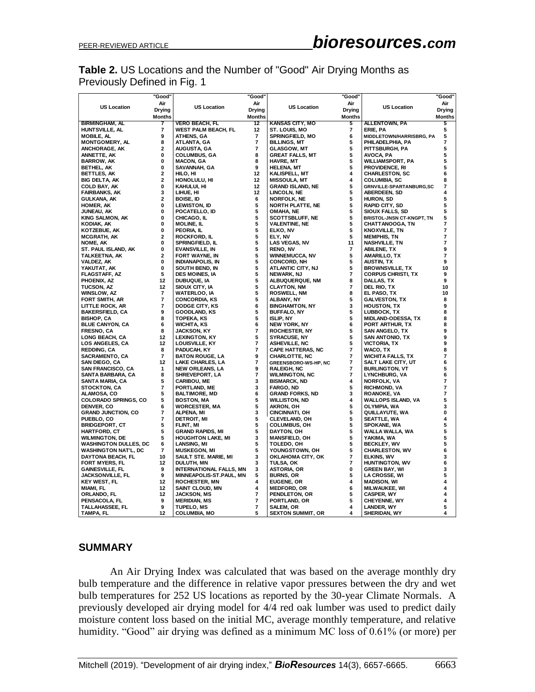## **Table 2.** US Locations and the Number of "Good" Air Drying Months as Previously Defined in Fig. 1

|                                                                                         | "Good"         |                                                                                          | "Good"                  |                                                       | "Good"         |                                                | "Good"        |  |  |  |  |
|-----------------------------------------------------------------------------------------|----------------|------------------------------------------------------------------------------------------|-------------------------|-------------------------------------------------------|----------------|------------------------------------------------|---------------|--|--|--|--|
| Air                                                                                     |                |                                                                                          | Air                     |                                                       | Air            |                                                | Air           |  |  |  |  |
| <b>US Location</b><br><b>Drying</b>                                                     |                | <b>US Location</b>                                                                       | Drying                  | <b>US Location</b>                                    | <b>Drying</b>  | <b>US Location</b>                             | Drying        |  |  |  |  |
|                                                                                         | Months         |                                                                                          | <b>Months</b>           |                                                       | <b>Months</b>  |                                                | <b>Months</b> |  |  |  |  |
| <b>BIRMINGHAM, AL</b>                                                                   | 7              | <b>VERO BEACH, FL</b>                                                                    | 12                      | <b>KANSAS CITY, MO</b>                                | 5              | ALLENTOWN, PA                                  | 5             |  |  |  |  |
| HUNTSVILLE, AL                                                                          | 7              | <b>WEST PALM BEACH, FL</b>                                                               | 12                      | ST. LOUIS, MO                                         | 7              | ERIE, PA                                       | 5             |  |  |  |  |
| <b>MOBILE, AL</b>                                                                       | 9              | <b>ATHENS, GA</b>                                                                        | 7                       | <b>SPRINGFIELD, MO</b>                                | 6              | MIDDLETOWN/HARRISBRG, PA                       | 5             |  |  |  |  |
| <b>MONTGOMERY, AL</b>                                                                   | 8<br>2         | ATLANTA, GA                                                                              | 7<br>$\overline{7}$     | <b>BILLINGS, MT</b>                                   | 5<br>5         | PHILADELPHIA, PA                               | 7<br>5        |  |  |  |  |
| <b>ANCHORAGE, AK</b><br>ANNETTE, AK                                                     | 0              | <b>AUGUSTA, GA</b><br><b>COLUMBUS, GA</b>                                                | 8                       | <b>GLASGOW, MT</b><br><b>GREAT FALLS, MT</b>          | 5              | PITTSBURGH, PA<br>AVOCA, PA                    | 5             |  |  |  |  |
| <b>BARROW, AK</b>                                                                       | 0              | <b>MACON, GA</b>                                                                         | 8                       | <b>HAVRE, MT</b>                                      | 5              | <b>WILLIAMSPORT, PA</b>                        | 5             |  |  |  |  |
| <b>BETHEL, AK</b>                                                                       | 0              | SAVANNAH, GA                                                                             | 9                       | <b>HELENA, MT</b>                                     | 5              | <b>PROVIDENCE, RI</b>                          | 5             |  |  |  |  |
| BETTLES, AK                                                                             | $\mathbf{2}$   | HILO, HI                                                                                 | 12                      | KALISPELL, MT                                         | 4              | <b>CHARLESTON, SC</b>                          | 6             |  |  |  |  |
| <b>BIG DELTA, AK</b>                                                                    | $\mathbf{2}$   | HONOLULU, HI                                                                             | 12                      | <b>MISSOULA, MT</b>                                   | 4              | <b>COLUMBIA, SC</b>                            | 8             |  |  |  |  |
| <b>COLD BAY, AK</b>                                                                     | 0              | KAHULUI, HI                                                                              | 12                      | <b>GRAND ISLAND, NE</b>                               | 5              | <b>GRNVILLE-SPARTANBURG,SC</b>                 | 7             |  |  |  |  |
| <b>FAIRBANKS, AK</b>                                                                    | 3              | LIHUE, HI                                                                                | 12                      | LINCOLN, NE                                           | 5              | ABERDEEN, SD                                   | 4             |  |  |  |  |
| GULKANA, AK                                                                             | $\mathbf{2}$   | <b>BOISE, ID</b>                                                                         | 6                       | <b>NORFOLK, NE</b>                                    | 5              | HURON, SD                                      | 5             |  |  |  |  |
| <b>HOMER, AK</b>                                                                        | 0              | <b>LEWISTON, ID</b>                                                                      | 5                       | NORTH PLATTE, NE                                      | 5              | <b>RAPID CITY, SD</b>                          | 5             |  |  |  |  |
| JUNEAU, AK                                                                              | 0              | POCATELLO, ID                                                                            | 5                       | OMAHA, NE                                             | 5              | <b>SIOUX FALLS, SD</b>                         | 5             |  |  |  |  |
| <b>KING SALMON, AK</b>                                                                  | 0<br>0         | CHICAGO, IL                                                                              | 5<br>5                  | <b>SCOTTSBLUFF, NE</b>                                | 5<br>5         | BRISTOL-JNSN CT-KNGPT, TN                      | 5<br>7        |  |  |  |  |
| KODIAK, AK<br>KOTZEBUE, AK                                                              | 0              | <b>MOLINE, IL</b><br>PEORIA, IL                                                          | 5                       | <b>VALENTINE, NE</b><br>ELKO, NV                      | 5              | <b>CHATTANOOGA, TN</b><br><b>KNOXVILLE, TN</b> | 7             |  |  |  |  |
| MCGRATH, AK                                                                             | 2              | <b>ROCKFORD, IL</b>                                                                      | 5                       | ELY, NV                                               | 5              | <b>MEMPHIS, TN</b>                             | 7             |  |  |  |  |
| NOME, AK                                                                                | 0              | <b>SPRINGFIELD, IL</b>                                                                   | 5                       | LAS VEGAS, NV                                         | 11             | <b>NASHVILLE, TN</b>                           | 7             |  |  |  |  |
| ST. PAUL ISLAND, AK                                                                     | 0              | <b>EVANSVILLE, IN</b>                                                                    | 5                       | <b>RENO, NV</b>                                       | 7              | <b>ABILENE, TX</b>                             | 9             |  |  |  |  |
| TALKEETNA, AK                                                                           | $\mathbf 2$    | FORT WAYNE, IN                                                                           | 5                       | <b>WINNEMUCCA, NV</b>                                 | 5              | AMARILLO, TX                                   | 7             |  |  |  |  |
| <b>VALDEZ, AK</b>                                                                       | 0              | <b>INDIANAPOLIS, IN</b>                                                                  | 5                       | CONCORD, NH                                           | 5              | <b>AUSTIN, TX</b>                              | 9             |  |  |  |  |
| YAKUTAT, AK                                                                             | 0              | SOUTH BEND, IN                                                                           | 5                       | ATLANTIC CITY, NJ                                     | 5              | <b>BROWNSVILLE, TX</b>                         | 10            |  |  |  |  |
| FLAGSTAFF, AZ                                                                           | 5              | <b>DES MOINES, IA</b>                                                                    | 5                       | NEWARK, NJ                                            | 7              | <b>CORPUS CHRISTI, TX</b>                      | 9             |  |  |  |  |
| PHOENIX, AZ                                                                             | 12             | DUBUQUE, IA                                                                              | 5                       | ALBUQUERQUE, NM                                       | 8              | DALLAS, TX                                     | 9             |  |  |  |  |
| TUCSON, AZ                                                                              | 12             | SIOUX CITY, IA                                                                           | 5                       | <b>CLAYTON, NM</b>                                    | $\overline{7}$ | DEL RIO, TX                                    | 10            |  |  |  |  |
| WINSLOW, AZ                                                                             | 7              | <b>WATERLOO, IA</b>                                                                      | 5                       | <b>ROSWELL, NM</b>                                    | 8              | EL PASO, TX                                    | 10            |  |  |  |  |
| <b>FORT SMITH, AR</b>                                                                   | $\overline{7}$ | <b>CONCORDIA, KS</b>                                                                     | 5                       | ALBANY, NY                                            | 5              | <b>GALVESTON, TX</b>                           | 8             |  |  |  |  |
| <b>LITTLE ROCK, AR</b>                                                                  | 7              | <b>DODGE CITY, KS</b>                                                                    | 6                       | <b>BINGHAMTON, NY</b>                                 | 3              | <b>HOUSTON, TX</b>                             | 9             |  |  |  |  |
| <b>BAKERSFIELD, CA</b>                                                                  | 9              | <b>GOODLAND, KS</b>                                                                      | 5                       | <b>BUFFALO, NY</b>                                    | 5              | LUBBOCK, TX                                    | 8             |  |  |  |  |
| <b>BISHOP, CA</b>                                                                       | 8<br>6         | <b>TOPEKA, KS</b><br><b>WICHITA, KS</b>                                                  | 5<br>6                  | <b>ISLIP, NY</b>                                      | 5<br>6         | <b>MIDLAND-ODESSA, TX</b>                      | 8<br>8        |  |  |  |  |
| <b>BLUE CANYON, CA</b><br><b>FRESNO, CA</b>                                             | 8              | JACKSON, KY                                                                              | $\overline{\mathbf{r}}$ | NEW YORK, NY<br><b>ROCHESTER, NY</b>                  | 5              | PORT ARTHUR, TX<br><b>SAN ANGELO, TX</b>       | 9             |  |  |  |  |
| LONG BEACH, CA                                                                          | 12             | <b>LEXINGTON, KY</b>                                                                     | 5                       | <b>SYRACUSE, NY</b>                                   | 5              | SAN ANTONIO, TX                                | 9             |  |  |  |  |
| LOS ANGELES, CA                                                                         | 12             | LOUISVILLE, KY                                                                           | 7                       | <b>ASHEVILLE, NC</b>                                  | 5              | VICTORIA, TX                                   | 9             |  |  |  |  |
| <b>REDDING, CA</b>                                                                      | 8              | PADUCAH, KY                                                                              | $\overline{\mathbf{r}}$ | <b>CAPE HATTERAS, NC</b>                              | 7              | WACO, TX                                       | 8             |  |  |  |  |
| <b>SACRAMENTO, CA</b>                                                                   | $\overline{7}$ | <b>BATON ROUGE, LA</b>                                                                   | 9                       | CHARLOTTE, NC                                         | 7              | WICHITA FALLS, TX                              | 7             |  |  |  |  |
| SAN DIEGO, CA                                                                           | 12             | LAKE CHARLES, LA                                                                         | $\overline{\mathbf{r}}$ | GREENSBORO-WS-HP, NC                                  | 7              | SALT LAKE CITY, UT                             | 6             |  |  |  |  |
| <b>SAN FRANCISCO, CA</b>                                                                | 1              | <b>NEW ORLEANS, LA</b>                                                                   | 9                       | <b>RALEIGH, NC</b>                                    | 7              | <b>BURLINGTON, VT</b>                          | 5             |  |  |  |  |
| SANTA BARBARA, CA                                                                       | 8              | SHREVEPORT, LA                                                                           | 7                       | <b>WILMINGTON, NC</b>                                 | 7              | <b>LYNCHBURG, VA</b>                           | 6             |  |  |  |  |
| SANTA MARIA, CA                                                                         | 5              | <b>CARIBOU, ME</b>                                                                       | 3                       | <b>BISMARCK, ND</b>                                   | 4              | <b>NORFOLK, VA</b>                             | 7             |  |  |  |  |
| <b>STOCKTON, CA</b>                                                                     | 7              | PORTLAND, ME                                                                             | 3                       | <b>FARGO, ND</b>                                      | 5              | RICHMOND, VA                                   | 7             |  |  |  |  |
| ALAMOSA, CO                                                                             | 5              | <b>BALTIMORE, MD</b>                                                                     | 6                       | <b>GRAND FORKS, ND</b>                                | 3              | <b>ROANOKE, VA</b>                             | 7             |  |  |  |  |
| <b>COLORADO SPRINGS, CO</b>                                                             | 5              | <b>BOSTON, MA</b>                                                                        | 5                       | <b>WILLISTON, ND</b>                                  | 4              | WALLOPS ISLAND, VA                             | 5             |  |  |  |  |
| <b>DENVER, CO</b>                                                                       | 6              | <b>WORCESTER, MA</b>                                                                     | 5                       | AKRON, OH                                             | 5              | OLYMPIA, WA                                    | 3             |  |  |  |  |
| <b>GRAND JUNCTION, CO</b>                                                               | 7              | ALPENA, MI                                                                               | 3                       | <b>CINCINNATI, OH</b>                                 | 5              | QUILLAYUTE, WA                                 | 0             |  |  |  |  |
| PUEBLO, CO                                                                              | 7<br>5         | <b>DETROIT, MI</b>                                                                       | 5<br>5                  | CLEVELAND, OH                                         | 5<br>5         | SEATTLE, WA                                    | 4<br>5        |  |  |  |  |
| <b>BRIDGEPORT, CT</b><br><b>HARTFORD, CT</b>                                            | 5              | FLINT, MI<br><b>GRAND RAPIDS, MI</b>                                                     | 5                       | <b>COLUMBUS, OH</b><br>DAYTON, OH                     | 5              | SPOKANE, WA<br>WALLA WALLA, WA                 | 5             |  |  |  |  |
| <b>WILMINGTON, DE</b>                                                                   | 5              | <b>HOUGHTON LAKE, MI</b>                                                                 | 3                       | <b>MANSFIELD, OH</b>                                  | 5              | YAKIMA, WA                                     | 5             |  |  |  |  |
| <b>WASHINGTON DULLES, DC</b>                                                            | 6              | LANSING, MI                                                                              | 5                       | TOLEDO, OH                                            | 5              | <b>BECKLEY, WV</b>                             | 5             |  |  |  |  |
| <b>WASHINGTON NAT'L, DC</b>                                                             | $\overline{7}$ | <b>MUSKEGON, MI</b>                                                                      | 5                       | YOUNGSTOWN, OH                                        | 5              | <b>CHARLESTON, WV</b>                          | 6             |  |  |  |  |
| DAYTONA BEACH, FL                                                                       | 10             | SAULT STE. MARIE, MI                                                                     | 3                       | OKLAHOMA CITY, OK                                     | 7              | ELKINS, WV                                     | 3             |  |  |  |  |
| <b>FORT MYERS, FL</b>                                                                   | 12             | DULUTH, MN                                                                               | 3                       | TULSA, OK                                             | 7              | <b>HUNTINGTON, WV</b>                          | 6             |  |  |  |  |
| <b>GAINESVILLE, FL</b>                                                                  | 9              | <b>INTERNATIONAL FALLS, MN</b>                                                           | 3                       | <b>ASTORIA, OR</b>                                    | 0              | <b>GREEN BAY, WI</b>                           | 3             |  |  |  |  |
| <b>JACKSONVILLE, FL</b>                                                                 | 9              | MINNEAPOLIS-ST.PAUL, MN                                                                  | 5                       | <b>BURNS, OR</b>                                      | 5              | <b>LA CROSSE, WI</b>                           | 5             |  |  |  |  |
| <b>KEY WEST, FL</b>                                                                     | 12             | <b>ROCHESTER, MN</b>                                                                     | 4                       | EUGENE, OR                                            | 4              | <b>MADISON, WI</b>                             | 4             |  |  |  |  |
| MIAMI, FL                                                                               | 12             | <b>SAINT CLOUD, MN</b>                                                                   | 4                       | <b>MEDFORD, OR</b>                                    | 6              | <b>MILWAUKEE, WI</b>                           | 4             |  |  |  |  |
| ORLANDO, FL                                                                             | 12             | <b>JACKSON, MS</b>                                                                       | 7                       | PENDLETON, OR                                         | 5              | <b>CASPER, WY</b>                              | 4             |  |  |  |  |
|                                                                                         |                |                                                                                          |                         |                                                       |                |                                                |               |  |  |  |  |
|                                                                                         |                |                                                                                          |                         |                                                       |                |                                                |               |  |  |  |  |
| PENSACOLA, FL<br>TALLAHASSEE, FL<br>TAMPA, FL                                           | 9<br>9<br>12   | <b>MERIDIAN, MS</b><br><b>TUPELO, MS</b><br><b>COLUMBIA, MO</b>                          | 7<br>7<br>5             | PORTLAND, OR<br>SALEM, OR<br><b>SEXTON SUMMIT, OR</b> | 5<br>4<br>4    | CHEYENNE, WY<br>LANDER, WY<br>SHERIDAN, WY     | 4<br>5<br>4   |  |  |  |  |
| <b>SUMMARY</b>                                                                          |                |                                                                                          |                         |                                                       |                |                                                |               |  |  |  |  |
| An Air Drying Index was calculated that was based on the average monthly dry            |                |                                                                                          |                         |                                                       |                |                                                |               |  |  |  |  |
| bulb temperature and the difference in relative vapor pressures between the dry and wet |                |                                                                                          |                         |                                                       |                |                                                |               |  |  |  |  |
| bulb temperatures for 252 US locations as reported by the 30-year Climate Normals. A    |                |                                                                                          |                         |                                                       |                |                                                |               |  |  |  |  |
|                                                                                         |                | previously developed air drying model for 4/4 red oak lumber was used to predict daily   |                         |                                                       |                |                                                |               |  |  |  |  |
|                                                                                         |                | moisture content loss based on the initial MC, average monthly temperature, and relative |                         |                                                       |                |                                                |               |  |  |  |  |
| humidity. "Good" air drying was defined as a minimum MC loss of 0.61% (or more) per     |                |                                                                                          |                         |                                                       |                |                                                |               |  |  |  |  |

#### **SUMMARY**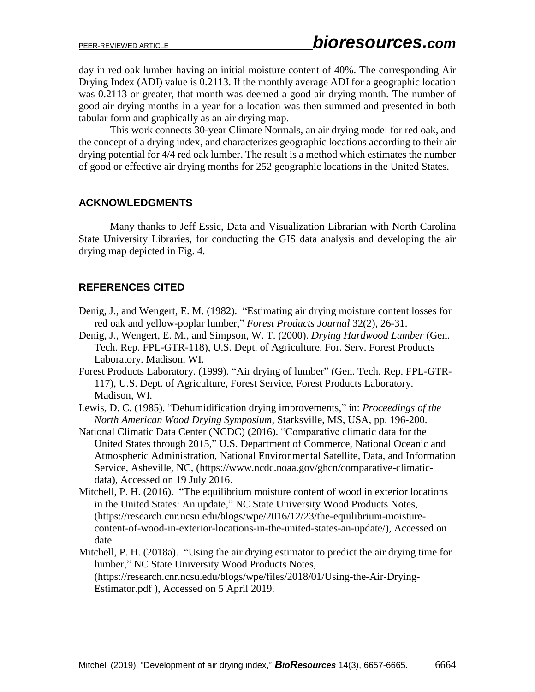day in red oak lumber having an initial moisture content of 40%. The corresponding Air Drying Index (ADI) value is 0.2113. If the monthly average ADI for a geographic location was 0.2113 or greater, that month was deemed a good air drying month. The number of good air drying months in a year for a location was then summed and presented in both tabular form and graphically as an air drying map.

This work connects 30-year Climate Normals, an air drying model for red oak, and the concept of a drying index, and characterizes geographic locations according to their air drying potential for 4/4 red oak lumber. The result is a method which estimates the number of good or effective air drying months for 252 geographic locations in the United States.

#### **ACKNOWLEDGMENTS**

Many thanks to Jeff Essic, Data and Visualization Librarian with North Carolina State University Libraries, for conducting the GIS data analysis and developing the air drying map depicted in Fig. 4.

## **REFERENCES CITED**

- Denig, J., and Wengert, E. M. (1982). "Estimating air drying moisture content losses for red oak and yellow-poplar lumber," *Forest Products Journal* 32(2), 26-31.
- Denig, J., Wengert, E. M., and Simpson, W. T. (2000). *Drying Hardwood Lumber* (Gen. Tech. Rep. FPL-GTR-118), U.S. Dept. of Agriculture. For. Serv. Forest Products Laboratory. Madison, WI.
- Forest Products Laboratory. (1999). "Air drying of lumber" (Gen. Tech. Rep. FPL-GTR-117), U.S. Dept. of Agriculture, Forest Service, Forest Products Laboratory. Madison, WI.
- Lewis, D. C. (1985). "Dehumidification drying improvements," in: *Proceedings of the North American Wood Drying Symposium*, Starksville, MS, USA, pp. 196-200.
- National Climatic Data Center (NCDC) (2016). "Comparative climatic data for the United States through 2015," U.S. Department of Commerce, National Oceanic and Atmospheric Administration, National Environmental Satellite, Data, and Information Service, Asheville, NC, (https://www.ncdc.noaa.gov/ghcn/comparative-climaticdata), Accessed on 19 July 2016.
- Mitchell, P. H. (2016). "The equilibrium moisture content of wood in exterior locations in the United States: An update," NC State University Wood Products Notes, (https://research.cnr.ncsu.edu/blogs/wpe/2016/12/23/the-equilibrium-moisturecontent-of-wood-in-exterior-locations-in-the-united-states-an-update/), Accessed on date.
- Mitchell, P. H. (2018a). "Using the air drying estimator to predict the air drying time for lumber," NC State University Wood Products Notes, (https://research.cnr.ncsu.edu/blogs/wpe/files/2018/01/Using-the-Air-Drying-Estimator.pdf ), Accessed on 5 April 2019.